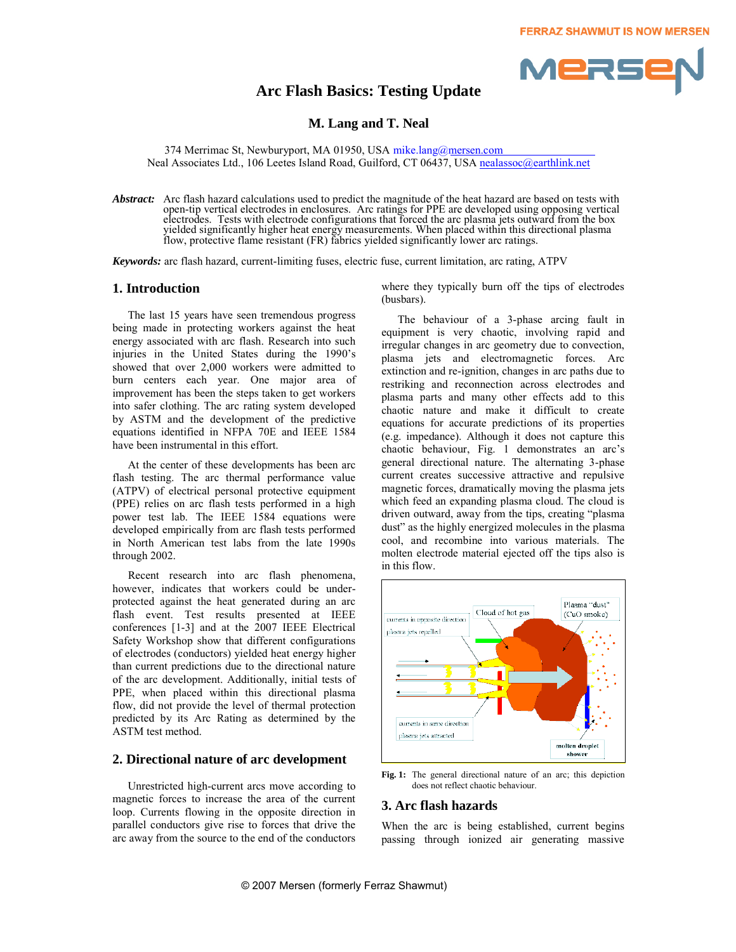# **Arc Flash Basics: Testing Update**



### **M. Lang and T. Neal**

374 Merrimac St, Newburyport, MA 01950, USA mike.lang@mersen.com Neal Associates Ltd., 106 Leetes Island Road, Guilford, CT 06437, USA nealassoc@earthlink.net

*Abstract:* Arc flash hazard calculations used to predict the magnitude of the heat hazard are based on tests with open-tip vertical electrodes in enclosures. Arc ratings for PPE are developed using opposing vertical electrodes. Tests with electrode configurations that forced the arc plasma jets outward from the box yielded significantly higher heat energy measurements. When placed within this directional plasma flow, protective flame resistant (FR) fabrics yielded significantly lower arc ratings.

*Keywords:* arc flash hazard, current-limiting fuses, electric fuse, current limitation, arc rating, ATPV

### **1. Introduction**

The last 15 years have seen tremendous progress being made in protecting workers against the heat energy associated with arc flash. Research into such injuries in the United States during the 1990's showed that over 2,000 workers were admitted to burn centers each year. One major area of improvement has been the steps taken to get workers into safer clothing. The arc rating system developed by ASTM and the development of the predictive equations identified in NFPA 70E and IEEE 1584 have been instrumental in this effort.

At the center of these developments has been arc flash testing. The arc thermal performance value (ATPV) of electrical personal protective equipment (PPE) relies on arc flash tests performed in a high power test lab. The IEEE 1584 equations were developed empirically from arc flash tests performed in North American test labs from the late 1990s through 2002.

Recent research into arc flash phenomena, however, indicates that workers could be underprotected against the heat generated during an arc flash event. Test results presented at IEEE conferences [1-3] and at the 2007 IEEE Electrical Safety Workshop show that different configurations of electrodes (conductors) yielded heat energy higher than current predictions due to the directional nature of the arc development. Additionally, initial tests of PPE, when placed within this directional plasma flow, did not provide the level of thermal protection predicted by its Arc Rating as determined by the ASTM test method.

### **2. Directional nature of arc development**

Unrestricted high-current arcs move according to magnetic forces to increase the area of the current loop. Currents flowing in the opposite direction in parallel conductors give rise to forces that drive the arc away from the source to the end of the conductors where they typically burn off the tips of electrodes (busbars).

The behaviour of a 3-phase arcing fault in equipment is very chaotic, involving rapid and irregular changes in arc geometry due to convection, plasma jets and electromagnetic forces. Arc extinction and re-ignition, changes in arc paths due to restriking and reconnection across electrodes and plasma parts and many other effects add to this chaotic nature and make it difficult to create equations for accurate predictions of its properties (e.g. impedance). Although it does not capture this chaotic behaviour, Fig. 1 demonstrates an arc's general directional nature. The alternating 3-phase current creates successive attractive and repulsive magnetic forces, dramatically moving the plasma jets which feed an expanding plasma cloud. The cloud is driven outward, away from the tips, creating "plasma dust" as the highly energized molecules in the plasma cool, and recombine into various materials. The molten electrode material ejected off the tips also is in this flow.



**Fig. 1:** The general directional nature of an arc; this depiction does not reflect chaotic behaviour.

### **3. Arc flash hazards**

When the arc is being established, current begins passing through ionized air generating massive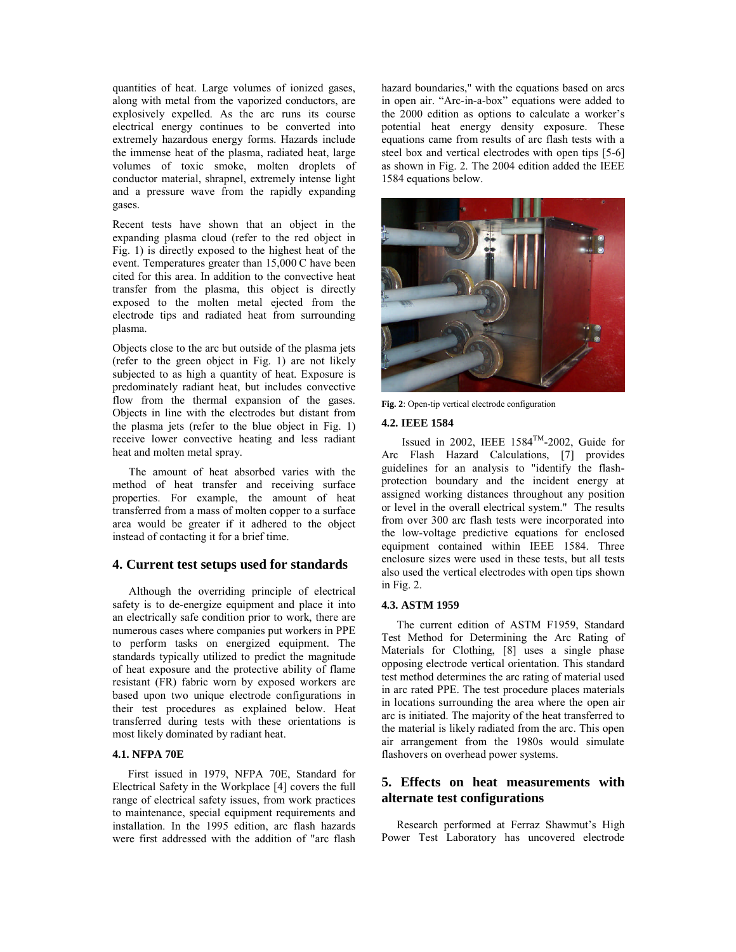quantities of heat. Large volumes of ionized gases, along with metal from the vaporized conductors, are explosively expelled. As the arc runs its course electrical energy continues to be converted into extremely hazardous energy forms. Hazards include the immense heat of the plasma, radiated heat, large volumes of toxic smoke, molten droplets of conductor material, shrapnel, extremely intense light and a pressure wave from the rapidly expanding gases.

Recent tests have shown that an object in the expanding plasma cloud (refer to the red object in Fig. 1) is directly exposed to the highest heat of the event. Temperatures greater than 15,000 C have been cited for this area. In addition to the convective heat transfer from the plasma, this object is directly exposed to the molten metal ejected from the electrode tips and radiated heat from surrounding plasma.

Objects close to the arc but outside of the plasma jets (refer to the green object in Fig. 1) are not likely subjected to as high a quantity of heat. Exposure is predominately radiant heat, but includes convective flow from the thermal expansion of the gases. Objects in line with the electrodes but distant from the plasma jets (refer to the blue object in Fig. 1) receive lower convective heating and less radiant heat and molten metal spray.

The amount of heat absorbed varies with the method of heat transfer and receiving surface properties. For example, the amount of heat transferred from a mass of molten copper to a surface area would be greater if it adhered to the object instead of contacting it for a brief time.

## **4. Current test setups used for standards**

Although the overriding principle of electrical safety is to de-energize equipment and place it into an electrically safe condition prior to work, there are numerous cases where companies put workers in PPE to perform tasks on energized equipment. The standards typically utilized to predict the magnitude of heat exposure and the protective ability of flame resistant (FR) fabric worn by exposed workers are based upon two unique electrode configurations in their test procedures as explained below. Heat transferred during tests with these orientations is most likely dominated by radiant heat.

# **4.1. NFPA 70E**

First issued in 1979, NFPA 70E, Standard for Electrical Safety in the Workplace [4] covers the full range of electrical safety issues, from work practices to maintenance, special equipment requirements and installation. In the 1995 edition, arc flash hazards were first addressed with the addition of "arc flash hazard boundaries," with the equations based on arcs in open air. "Arc-in-a-box" equations were added to the 2000 edition as options to calculate a worker's potential heat energy density exposure. These equations came from results of arc flash tests with a steel box and vertical electrodes with open tips [5-6] as shown in Fig. 2. The 2004 edition added the IEEE 1584 equations below.



**Fig. 2**: Open-tip vertical electrode configuration

### **4.2. IEEE 1584**

Issued in 2002, IEEE  $1584^{TM}$ -2002, Guide for Arc Flash Hazard Calculations, [7] provides guidelines for an analysis to "identify the flashprotection boundary and the incident energy at assigned working distances throughout any position or level in the overall electrical system." The results from over 300 arc flash tests were incorporated into the low-voltage predictive equations for enclosed equipment contained within IEEE 1584. Three enclosure sizes were used in these tests, but all tests also used the vertical electrodes with open tips shown in Fig. 2.

### **4.3. ASTM 1959**

The current edition of ASTM F1959, Standard Test Method for Determining the Arc Rating of Materials for Clothing, [8] uses a single phase opposing electrode vertical orientation. This standard test method determines the arc rating of material used in arc rated PPE. The test procedure places materials in locations surrounding the area where the open air arc is initiated. The majority of the heat transferred to the material is likely radiated from the arc. This open air arrangement from the 1980s would simulate flashovers on overhead power systems.

# **5. Effects on heat measurements with alternate test configurations**

Research performed at Ferraz Shawmut's High Power Test Laboratory has uncovered electrode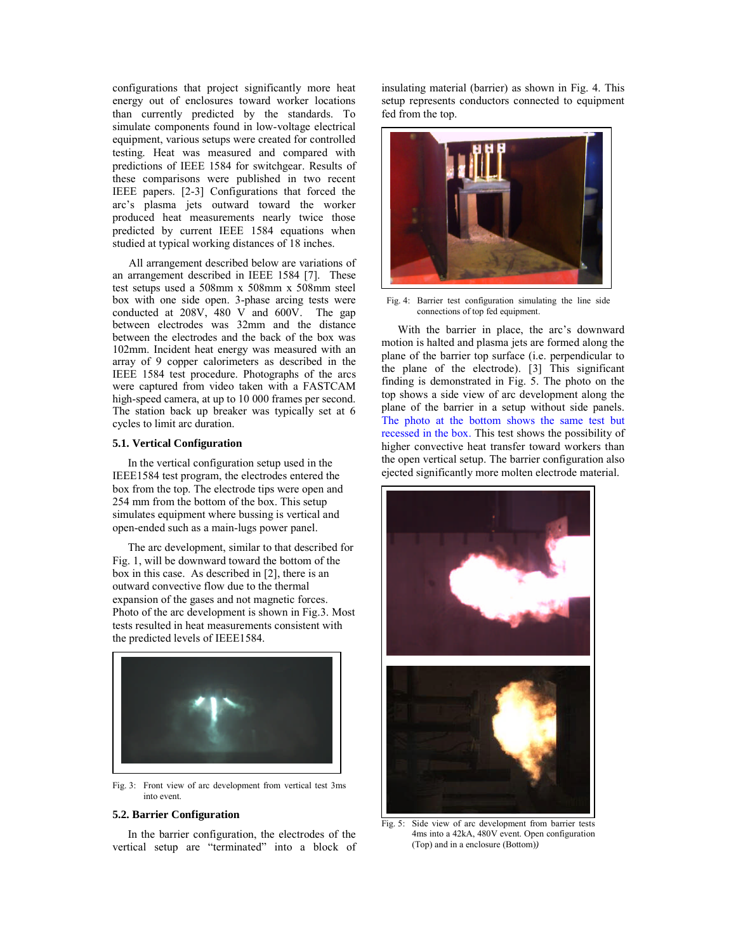configurations that project significantly more heat energy out of enclosures toward worker locations than currently predicted by the standards. To simulate components found in low-voltage electrical equipment, various setups were created for controlled testing. Heat was measured and compared with predictions of IEEE 1584 for switchgear. Results of these comparisons were published in two recent IEEE papers. [2-3] Configurations that forced the arc's plasma jets outward toward the worker produced heat measurements nearly twice those predicted by current IEEE 1584 equations when studied at typical working distances of 18 inches.

All arrangement described below are variations of an arrangement described in IEEE 1584 [7]. These test setups used a 508mm x 508mm x 508mm steel box with one side open. 3-phase arcing tests were conducted at 208V, 480 V and 600V. The gap conducted at 208V, 480 V and 600V. between electrodes was 32mm and the distance between the electrodes and the back of the box was 102mm. Incident heat energy was measured with an array of 9 copper calorimeters as described in the IEEE 1584 test procedure. Photographs of the arcs were captured from video taken with a FASTCAM high-speed camera, at up to 10 000 frames per second. The station back up breaker was typically set at 6 cycles to limit arc duration.

### **5.1. Vertical Configuration**

In the vertical configuration setup used in the IEEE1584 test program, the electrodes entered the box from the top. The electrode tips were open and 254 mm from the bottom of the box. This setup simulates equipment where bussing is vertical and open-ended such as a main-lugs power panel.

The arc development, similar to that described for Fig. 1, will be downward toward the bottom of the box in this case. As described in [2], there is an outward convective flow due to the thermal expansion of the gases and not magnetic forces. Photo of the arc development is shown in Fig.3. Most tests resulted in heat measurements consistent with the predicted levels of IEEE1584.



Fig. 3: Front view of arc development from vertical test 3ms into event.

#### **5.2. Barrier Configuration**

In the barrier configuration, the electrodes of the vertical setup are "terminated" into a block of insulating material (barrier) as shown in Fig. 4. This setup represents conductors connected to equipment fed from the top.



Fig. 4: Barrier test configuration simulating the line side connections of top fed equipment.

With the barrier in place, the arc's downward motion is halted and plasma jets are formed along the plane of the barrier top surface (i.e. perpendicular to the plane of the electrode). [3] This significant finding is demonstrated in Fig. 5. The photo on the top shows a side view of arc development along the plane of the barrier in a setup without side panels. The photo at the bottom shows the same test but recessed in the box. This test shows the possibility of higher convective heat transfer toward workers than the open vertical setup. The barrier configuration also ejected significantly more molten electrode material.



Fig. 5: Side view of arc development from barrier tests 4ms into a 42kA, 480V event. Open configuration (Top) and in a enclosure (Bottom)*)*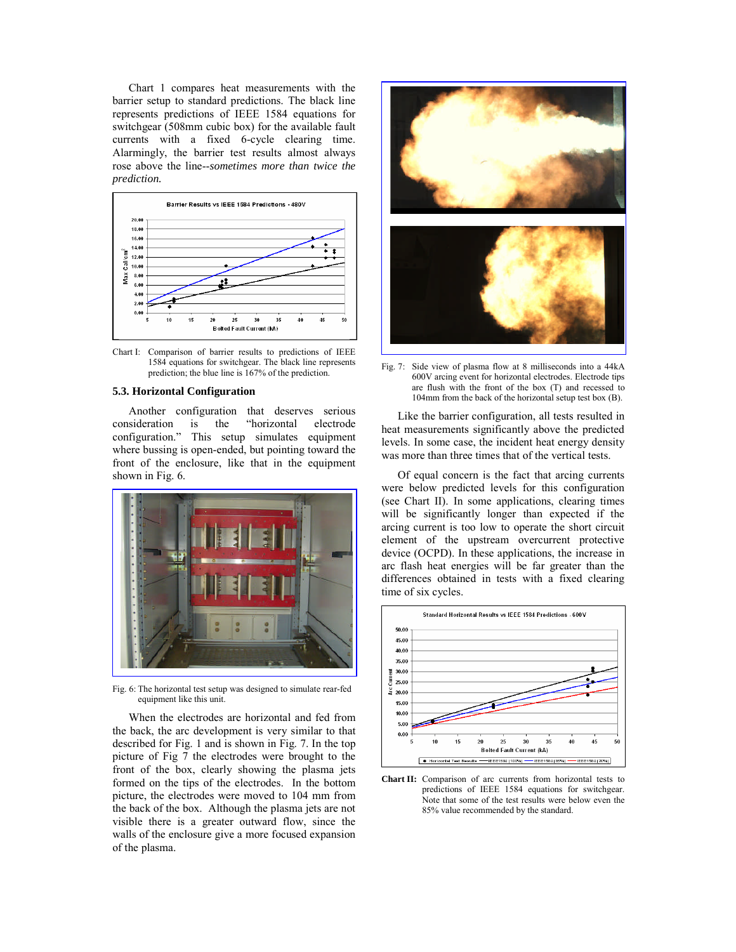Chart 1 compares heat measurements with the barrier setup to standard predictions. The black line represents predictions of IEEE 1584 equations for switchgear (508mm cubic box) for the available fault currents with a fixed 6-cycle clearing time. Alarmingly, the barrier test results almost always rose above the line--*sometimes more than twice the prediction.*



Chart I: Comparison of barrier results to predictions of IEEE 1584 equations for switchgear. The black line represents prediction; the blue line is 167% of the prediction.

### **5.3. Horizontal Configuration**

Another configuration that deserves serious consideration is the "horizontal electrode configuration." This setup simulates equipment where bussing is open-ended, but pointing toward the front of the enclosure, like that in the equipment shown in Fig. 6.



Fig. 6: The horizontal test setup was designed to simulate rear-fed equipment like this unit.

When the electrodes are horizontal and fed from the back, the arc development is very similar to that described for Fig. 1 and is shown in Fig. 7. In the top picture of Fig 7 the electrodes were brought to the front of the box, clearly showing the plasma jets formed on the tips of the electrodes. In the bottom picture, the electrodes were moved to 104 mm from the back of the box. Although the plasma jets are not visible there is a greater outward flow, since the walls of the enclosure give a more focused expansion of the plasma.



Fig. 7: Side view of plasma flow at 8 milliseconds into a 44kA 600V arcing event for horizontal electrodes. Electrode tips are flush with the front of the box (T) and recessed to 104mm from the back of the horizontal setup test box (B).

Like the barrier configuration, all tests resulted in heat measurements significantly above the predicted levels. In some case, the incident heat energy density was more than three times that of the vertical tests.

Of equal concern is the fact that arcing currents were below predicted levels for this configuration (see Chart II). In some applications, clearing times will be significantly longer than expected if the arcing current is too low to operate the short circuit element of the upstream overcurrent protective device (OCPD). In these applications, the increase in arc flash heat energies will be far greater than the differences obtained in tests with a fixed clearing time of six cycles.



**Chart II:** Comparison of arc currents from horizontal tests to predictions of IEEE 1584 equations for switchgear. Note that some of the test results were below even the 85% value recommended by the standard.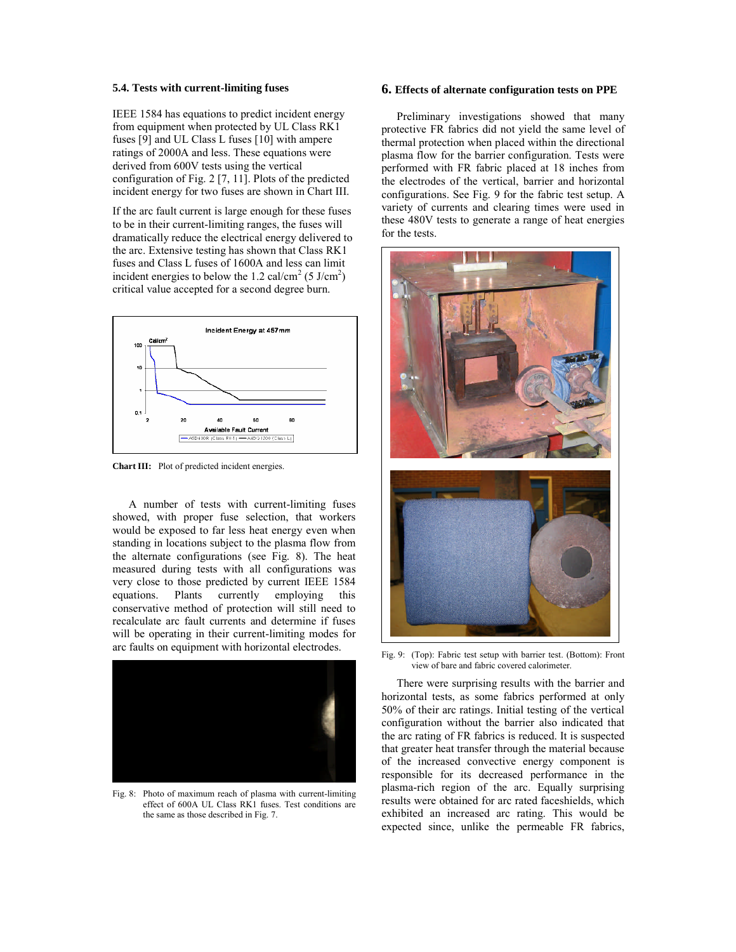#### **5.4. Tests with current-limiting fuses**

IEEE 1584 has equations to predict incident energy from equipment when protected by UL Class RK1 fuses [9] and UL Class L fuses [10] with ampere ratings of 2000A and less. These equations were derived from 600V tests using the vertical configuration of Fig. 2 [7, 11]. Plots of the predicted incident energy for two fuses are shown in Chart III.

If the arc fault current is large enough for these fuses to be in their current-limiting ranges, the fuses will dramatically reduce the electrical energy delivered to the arc. Extensive testing has shown that Class RK1 fuses and Class L fuses of 1600A and less can limit incident energies to below the 1.2 cal/cm<sup>2</sup> (5 J/cm<sup>2</sup>) critical value accepted for a second degree burn.



**Chart III:** Plot of predicted incident energies.

A number of tests with current-limiting fuses showed, with proper fuse selection, that workers would be exposed to far less heat energy even when standing in locations subject to the plasma flow from the alternate configurations (see Fig. 8). The heat measured during tests with all configurations was very close to those predicted by current IEEE 1584 equations. Plants currently employing this conservative method of protection will still need to recalculate arc fault currents and determine if fuses will be operating in their current-limiting modes for arc faults on equipment with horizontal electrodes.



Fig. 8: Photo of maximum reach of plasma with current-limiting effect of 600A UL Class RK1 fuses. Test conditions are the same as those described in Fig. 7.

### **6. Effects of alternate configuration tests on PPE**

Preliminary investigations showed that many protective FR fabrics did not yield the same level of thermal protection when placed within the directional plasma flow for the barrier configuration. Tests were performed with FR fabric placed at 18 inches from the electrodes of the vertical, barrier and horizontal configurations. See Fig. 9 for the fabric test setup. A variety of currents and clearing times were used in these 480V tests to generate a range of heat energies for the tests.



Fig. 9: (Top): Fabric test setup with barrier test. (Bottom): Front view of bare and fabric covered calorimeter.

There were surprising results with the barrier and horizontal tests, as some fabrics performed at only 50% of their arc ratings. Initial testing of the vertical configuration without the barrier also indicated that the arc rating of FR fabrics is reduced. It is suspected that greater heat transfer through the material because of the increased convective energy component is responsible for its decreased performance in the plasma-rich region of the arc. Equally surprising results were obtained for arc rated faceshields, which exhibited an increased arc rating. This would be expected since, unlike the permeable FR fabrics,